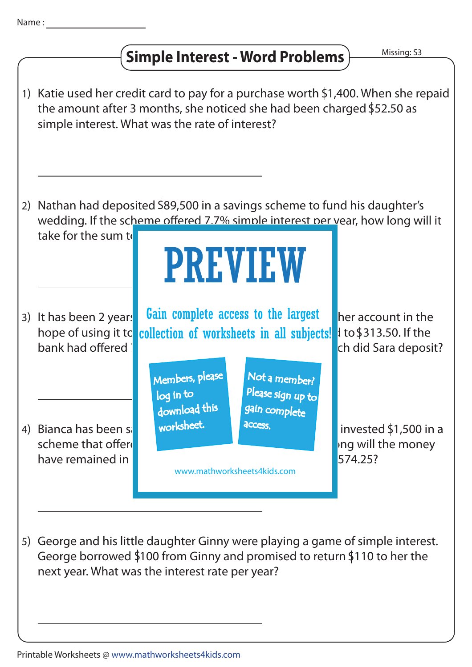

## **Simple Interest - Word Problems**

Missing: S3



5) George and his little daughter Ginny were playing a game of simple interest. George borrowed  $$100$  from Ginny and promised to return  $$110$  to her the next year. What was the interest rate per year?